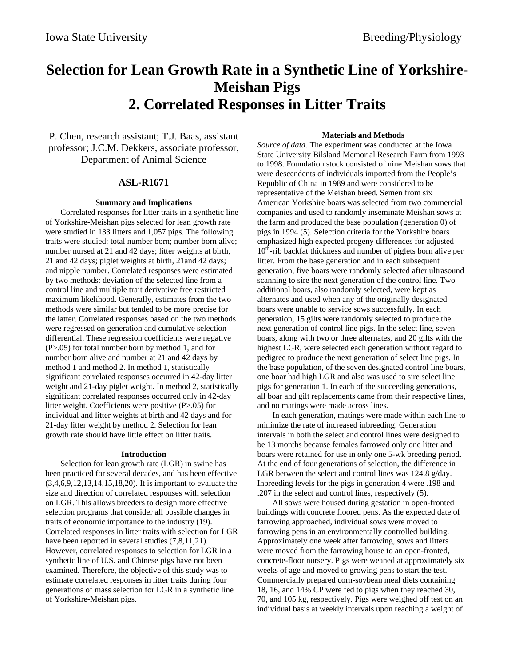# **Selection for Lean Growth Rate in a Synthetic Line of Yorkshire-Meishan Pigs 2. Correlated Responses in Litter Traits**

P. Chen, research assistant; T.J. Baas, assistant professor; J.C.M. Dekkers, associate professor, Department of Animal Science

## **ASL-R1671**

#### **Summary and Implications**

Correlated responses for litter traits in a synthetic line of Yorkshire-Meishan pigs selected for lean growth rate were studied in 133 litters and 1,057 pigs. The following traits were studied: total number born; number born alive; number nursed at 21 and 42 days; litter weights at birth, 21 and 42 days; piglet weights at birth, 21and 42 days; and nipple number. Correlated responses were estimated by two methods: deviation of the selected line from a control line and multiple trait derivative free restricted maximum likelihood. Generally, estimates from the two methods were similar but tended to be more precise for the latter. Correlated responses based on the two methods were regressed on generation and cumulative selection differential. These regression coefficients were negative (P>.05) for total number born by method 1, and for number born alive and number at 21 and 42 days by method 1 and method 2. In method 1, statistically significant correlated responses occurred in 42-day litter weight and 21-day piglet weight. In method 2, statistically significant correlated responses occurred only in 42-day litter weight. Coefficients were positive (P>.05) for individual and litter weights at birth and 42 days and for 21-day litter weight by method 2. Selection for lean growth rate should have little effect on litter traits.

#### **Introduction**

Selection for lean growth rate (LGR) in swine has been practiced for several decades, and has been effective (3,4,6,9,12,13,14,15,18,20). It is important to evaluate the size and direction of correlated responses with selection on LGR. This allows breeders to design more effective selection programs that consider all possible changes in traits of economic importance to the industry (19). Correlated responses in litter traits with selection for LGR have been reported in several studies  $(7, 8, 11, 21)$ . However, correlated responses to selection for LGR in a synthetic line of U.S. and Chinese pigs have not been examined. Therefore, the objective of this study was to estimate correlated responses in litter traits during four generations of mass selection for LGR in a synthetic line of Yorkshire-Meishan pigs.

#### **Materials and Methods**

*Source of data.* The experiment was conducted at the Iowa State University Bilsland Memorial Research Farm from 1993 to 1998. Foundation stock consisted of nine Meishan sows that were descendents of individuals imported from the People's Republic of China in 1989 and were considered to be representative of the Meishan breed. Semen from six American Yorkshire boars was selected from two commercial companies and used to randomly inseminate Meishan sows at the farm and produced the base population (generation 0) of pigs in 1994 (5). Selection criteria for the Yorkshire boars emphasized high expected progeny differences for adjusted  $10<sup>th</sup>$ -rib backfat thickness and number of piglets born alive per litter. From the base generation and in each subsequent generation, five boars were randomly selected after ultrasound scanning to sire the next generation of the control line. Two additional boars, also randomly selected, were kept as alternates and used when any of the originally designated boars were unable to service sows successfully. In each generation, 15 gilts were randomly selected to produce the next generation of control line pigs. In the select line, seven boars, along with two or three alternates, and 20 gilts with the highest LGR, were selected each generation without regard to pedigree to produce the next generation of select line pigs. In the base population, of the seven designated control line boars, one boar had high LGR and also was used to sire select line pigs for generation 1. In each of the succeeding generations, all boar and gilt replacements came from their respective lines, and no matings were made across lines.

In each generation, matings were made within each line to minimize the rate of increased inbreeding. Generation intervals in both the select and control lines were designed to be 13 months because females farrowed only one litter and boars were retained for use in only one 5-wk breeding period. At the end of four generations of selection, the difference in LGR between the select and control lines was 124.8 g/day. Inbreeding levels for the pigs in generation 4 were .198 and .207 in the select and control lines, respectively (5).

All sows were housed during gestation in open-fronted buildings with concrete floored pens. As the expected date of farrowing approached, individual sows were moved to farrowing pens in an environmentally controlled building. Approximately one week after farrowing, sows and litters were moved from the farrowing house to an open-fronted, concrete-floor nursery. Pigs were weaned at approximately six weeks of age and moved to growing pens to start the test. Commercially prepared corn-soybean meal diets containing 18, 16, and 14% CP were fed to pigs when they reached 30, 70, and 105 kg, respectively. Pigs were weighed off test on an individual basis at weekly intervals upon reaching a weight of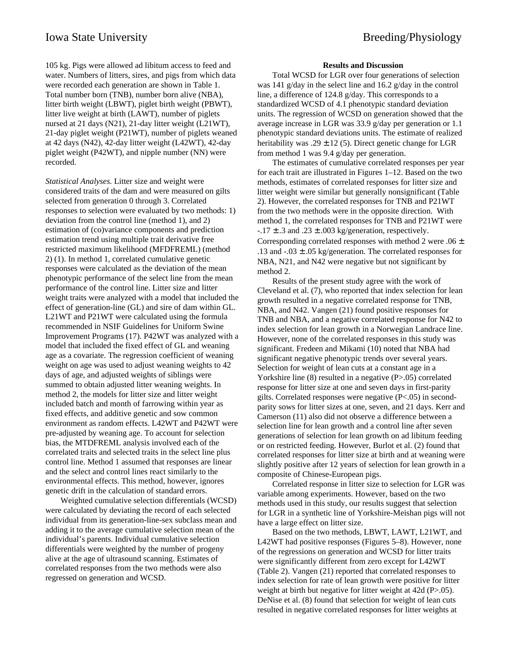105 kg. Pigs were allowed ad libitum access to feed and water. Numbers of litters, sires, and pigs from which data were recorded each generation are shown in Table 1. Total number born (TNB), number born alive (NBA), litter birth weight (LBWT), piglet birth weight (PBWT), litter live weight at birth (LAWT), number of piglets nursed at 21 days (N21), 21-day litter weight (L21WT), 21-day piglet weight (P21WT), number of piglets weaned at 42 days (N42), 42-day litter weight (L42WT), 42-day piglet weight (P42WT), and nipple number (NN) were recorded.

*Statistical Analyses.* Litter size and weight were considered traits of the dam and were measured on gilts selected from generation 0 through 3. Correlated responses to selection were evaluated by two methods: 1) deviation from the control line (method 1), and 2) estimation of (co)variance components and prediction estimation trend using multiple trait derivative free restricted maximum likelihood (MFDFREML) (method 2) (1). In method 1, correlated cumulative genetic responses were calculated as the deviation of the mean phenotypic performance of the select line from the mean performance of the control line. Litter size and litter weight traits were analyzed with a model that included the effect of generation-line (GL) and sire of dam within GL. L21WT and P21WT were calculated using the formula recommended in NSIF Guidelines for Uniform Swine Improvement Programs (17). P42WT was analyzed with a model that included the fixed effect of GL and weaning age as a covariate. The regression coefficient of weaning weight on age was used to adjust weaning weights to 42 days of age, and adjusted weights of siblings were summed to obtain adjusted litter weaning weights. In method 2, the models for litter size and litter weight included batch and month of farrowing within year as fixed effects, and additive genetic and sow common environment as random effects. L42WT and P42WT were pre-adjusted by weaning age. To account for selection bias, the MTDFREML analysis involved each of the correlated traits and selected traits in the select line plus control line. Method 1 assumed that responses are linear and the select and control lines react similarly to the environmental effects. This method, however, ignores genetic drift in the calculation of standard errors.

Weighted cumulative selection differentials (WCSD) were calculated by deviating the record of each selected individual from its generation-line-sex subclass mean and adding it to the average cumulative selection mean of the individual's parents. Individual cumulative selection differentials were weighted by the number of progeny alive at the age of ultrasound scanning. Estimates of correlated responses from the two methods were also regressed on generation and WCSD.

#### **Results and Discussion**

Total WCSD for LGR over four generations of selection was 141 g/day in the select line and 16.2 g/day in the control line, a difference of 124.8 g/day. This corresponds to a standardized WCSD of 4.1 phenotypic standard deviation units. The regression of WCSD on generation showed that the average increase in LGR was 33.9 g/day per generation or 1.1 phenotypic standard deviations units. The estimate of realized heritability was .29  $\pm$ .12 (5). Direct genetic change for LGR from method 1 was 9.4 g/day per generation.

The estimates of cumulative correlated responses per year for each trait are illustrated in Figures 1–12. Based on the two methods, estimates of correlated responses for litter size and litter weight were similar but generally nonsignificant (Table 2). However, the correlated responses for TNB and P21WT from the two methods were in the opposite direction. With method 1, the correlated responses for TNB and P21WT were  $-.17 \pm .3$  and  $.23 \pm .003$  kg/generation, respectively. Corresponding correlated responses with method 2 were  $.06 \pm$ .13 and  $-.03 \pm .05$  kg/generation. The correlated responses for NBA, N21, and N42 were negative but not significant by method 2.

Results of the present study agree with the work of Cleveland et al. (7), who reported that index selection for lean growth resulted in a negative correlated response for TNB, NBA, and N42. Vangen (21) found positive responses for TNB and NBA, and a negative correlated response for N42 to index selection for lean growth in a Norwegian Landrace line. However, none of the correlated responses in this study was significant. Fredeen and Mikami (10) noted that NBA had significant negative phenotypic trends over several years. Selection for weight of lean cuts at a constant age in a Yorkshire line (8) resulted in a negative (P>.05) correlated response for litter size at one and seven days in first-parity gilts. Correlated responses were negative (P<.05) in secondparity sows for litter sizes at one, seven, and 21 days. Kerr and Camerson (11) also did not observe a difference between a selection line for lean growth and a control line after seven generations of selection for lean growth on ad libitum feeding or on restricted feeding. However, Burlot et al. (2) found that correlated responses for litter size at birth and at weaning were slightly positive after 12 years of selection for lean growth in a composite of Chinese-European pigs.

Correlated response in litter size to selection for LGR was variable among experiments. However, based on the two methods used in this study, our results suggest that selection for LGR in a synthetic line of Yorkshire-Meishan pigs will not have a large effect on litter size.

Based on the two methods, LBWT, LAWT, L21WT, and L42WT had positive responses (Figures 5–8). However, none of the regressions on generation and WCSD for litter traits were significantly different from zero except for L42WT (Table 2). Vangen (21) reported that correlated responses to index selection for rate of lean growth were positive for litter weight at birth but negative for litter weight at 42d (P>.05). DeNise et al. (8) found that selection for weight of lean cuts resulted in negative correlated responses for litter weights at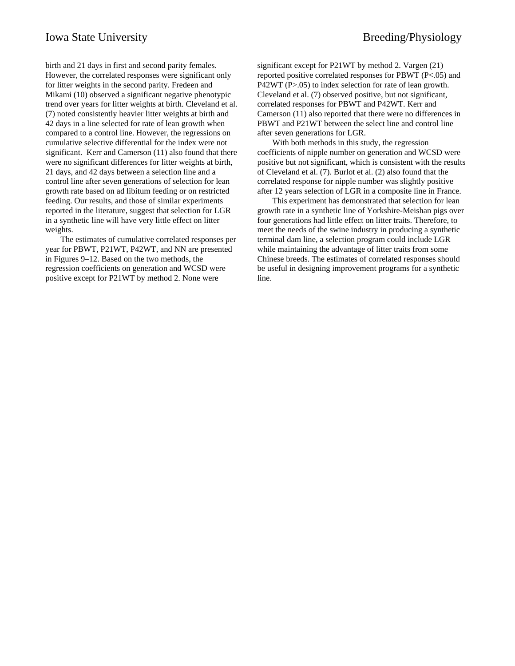birth and 21 days in first and second parity females. However, the correlated responses were significant only for litter weights in the second parity. Fredeen and Mikami (10) observed a significant negative phenotypic trend over years for litter weights at birth. Cleveland et al. (7) noted consistently heavier litter weights at birth and 42 days in a line selected for rate of lean growth when compared to a control line. However, the regressions on cumulative selective differential for the index were not significant. Kerr and Camerson (11) also found that there were no significant differences for litter weights at birth, 21 days, and 42 days between a selection line and a control line after seven generations of selection for lean growth rate based on ad libitum feeding or on restricted feeding. Our results, and those of similar experiments reported in the literature, suggest that selection for LGR in a synthetic line will have very little effect on litter weights.

The estimates of cumulative correlated responses per year for PBWT, P21WT, P42WT, and NN are presented in Figures 9–12. Based on the two methods, the regression coefficients on generation and WCSD were positive except for P21WT by method 2. None were

significant except for P21WT by method 2. Vargen (21) reported positive correlated responses for PBWT (P<.05) and P42WT (P>.05) to index selection for rate of lean growth. Cleveland et al. (7) observed positive, but not significant, correlated responses for PBWT and P42WT. Kerr and Camerson (11) also reported that there were no differences in PBWT and P21WT between the select line and control line after seven generations for LGR.

With both methods in this study, the regression coefficients of nipple number on generation and WCSD were positive but not significant, which is consistent with the results of Cleveland et al. (7). Burlot et al. (2) also found that the correlated response for nipple number was slightly positive after 12 years selection of LGR in a composite line in France.

This experiment has demonstrated that selection for lean growth rate in a synthetic line of Yorkshire-Meishan pigs over four generations had little effect on litter traits. Therefore, to meet the needs of the swine industry in producing a synthetic terminal dam line, a selection program could include LGR while maintaining the advantage of litter traits from some Chinese breeds. The estimates of correlated responses should be useful in designing improvement programs for a synthetic line.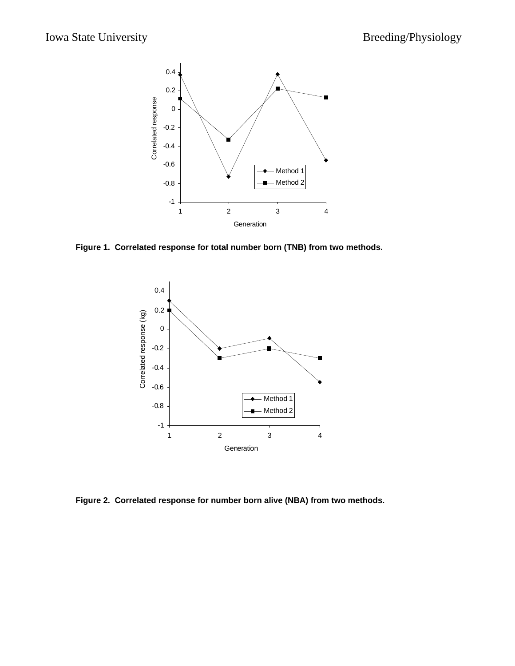

**Figure 1. Correlated response for total number born (TNB) from two methods.**



**Figure 2. Correlated response for number born alive (NBA) from two methods.**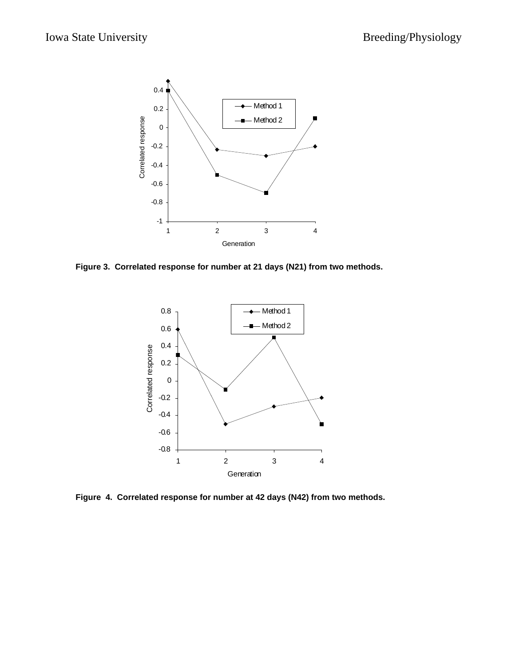

**Figure 3. Correlated response for number at 21 days (N21) from two methods.**



**Figure 4. Correlated response for number at 42 days (N42) from two methods.**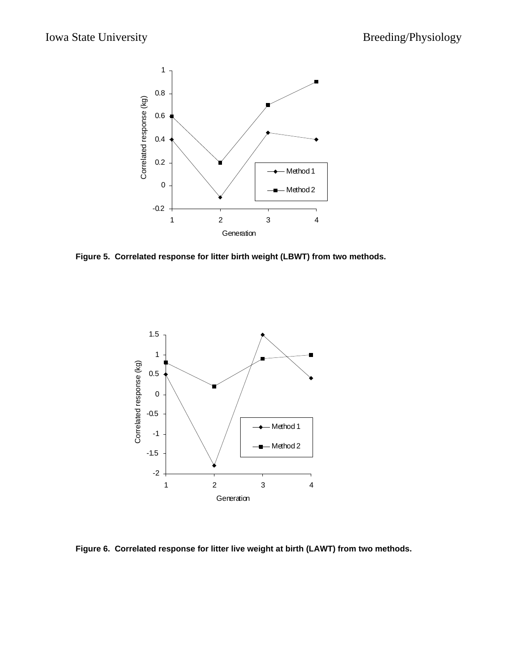

**Figure 5. Correlated response for litter birth weight (LBWT) from two methods.**



**Figure 6. Correlated response for litter live weight at birth (LAWT) from two methods.**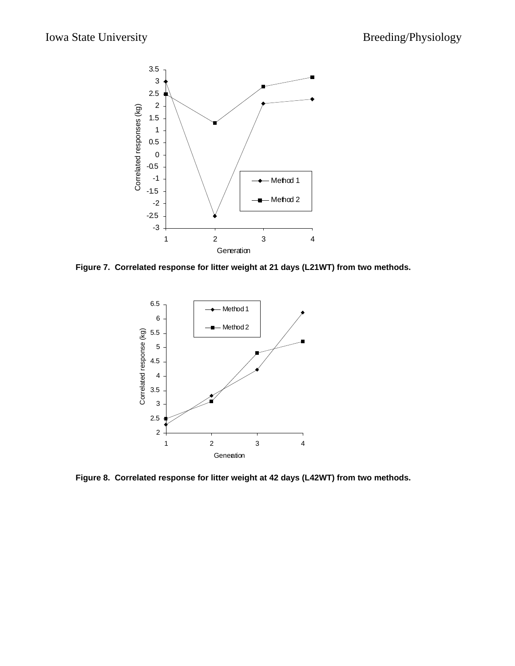

**Figure 7. Correlated response for litter weight at 21 days (L21WT) from two methods.**



**Figure 8. Correlated response for litter weight at 42 days (L42WT) from two methods.**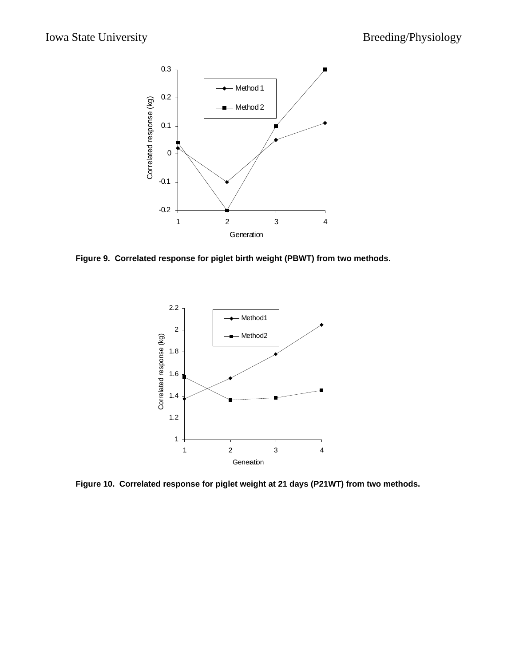

**Figure 9. Correlated response for piglet birth weight (PBWT) from two methods.**



**Figure 10. Correlated response for piglet weight at 21 days (P21WT) from two methods.**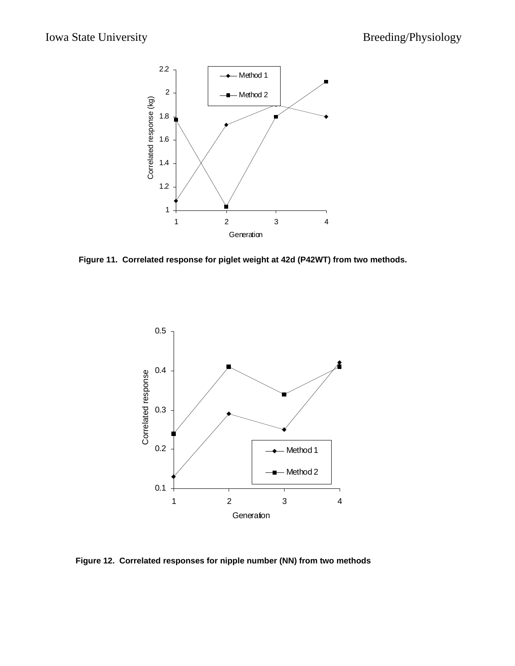

**Figure 11. Correlated response for piglet weight at 42d (P42WT) from two methods.**



**Figure 12. Correlated responses for nipple number (NN) from two methods**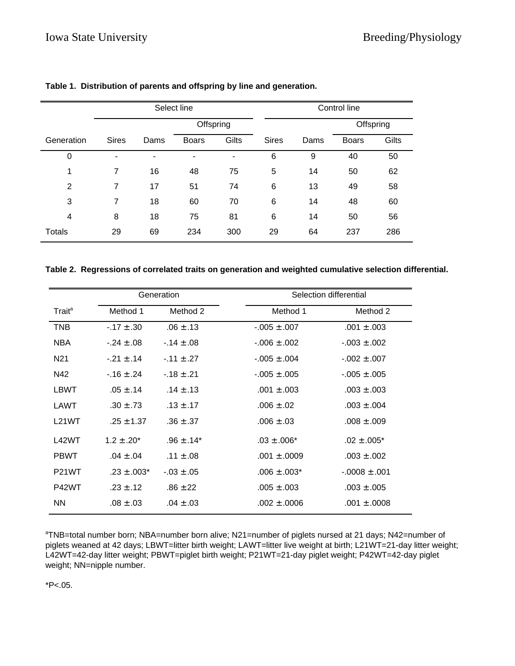|                  | Select line  |      |                |                              | Control line |      |              |       |
|------------------|--------------|------|----------------|------------------------------|--------------|------|--------------|-------|
|                  |              |      | Offspring      |                              |              |      | Offspring    |       |
| Generation       | <b>Sires</b> | Dams | <b>Boars</b>   | Gilts                        | <b>Sires</b> | Dams | <b>Boars</b> | Gilts |
| $\boldsymbol{0}$ | ٠            | ۰    | $\blacksquare$ | $\qquad \qquad \blacksquare$ | 6            | 9    | 40           | 50    |
| 1                | 7            | 16   | 48             | 75                           | 5            | 14   | 50           | 62    |
| 2                | 7            | 17   | 51             | 74                           | 6            | 13   | 49           | 58    |
| 3                | 7            | 18   | 60             | 70                           | 6            | 14   | 48           | 60    |
| 4                | 8            | 18   | 75             | 81                           | 6            | 14   | 50           | 56    |
| Totals           | 29           | 69   | 234            | 300                          | 29           | 64   | 237          | 286   |

# **Table 1. Distribution of parents and offspring by line and generation.**

|  |  | Table 2.  Regressions of correlated traits on generation and weighted cumulative selection differential. |  |
|--|--|----------------------------------------------------------------------------------------------------------|--|
|  |  |                                                                                                          |  |

|                    |                 | Generation       | Selection differential                   |  |  |  |
|--------------------|-----------------|------------------|------------------------------------------|--|--|--|
| Trait <sup>a</sup> | Method 1        | Method 2         | Method 1<br>Method 2                     |  |  |  |
| <b>TNB</b>         | $-.17 \pm .30$  | $.06 \pm .13$    | $-.005 \pm .007$<br>$.001 \pm .003$      |  |  |  |
| <b>NBA</b>         | $-.24 \pm .08$  | $-14 \pm 0.08$   | $-0.06 \pm 0.002$<br>$-0.03 \pm 0.002$   |  |  |  |
| N <sub>21</sub>    | $-21 \pm .14$   | $-.11 \pm .27$   | $-0.05 \pm 0.004$<br>$-0.02 \pm 0.007$   |  |  |  |
| N42                | $-16 \pm .24$   | $-18 \pm .21$    | $-0.005 \pm 0.005$<br>$-0.005 \pm 0.005$ |  |  |  |
| LBWT               | $.05 \pm .14$   | $.14 \pm .13$    | $.001 \pm .003$<br>$.003 \pm .003$       |  |  |  |
| LAWT               | $.30 \pm .73$   | $.13 \pm .17$    | $.006 \pm .02$<br>$.003 \pm .004$        |  |  |  |
| L21WT              | $.25 \pm 1.37$  | $.36 \pm .37$    | $.006 \pm .03$<br>$.008 \pm .009$        |  |  |  |
| L42WT              | $1.2 \pm .20^*$ | $.96 \pm .14*$   | $.03 \pm .006*$<br>$.02 \pm .005^*$      |  |  |  |
| <b>PBWT</b>        | $.04 \pm .04$   | .11 $\pm$ .08    | $.001 \pm .0009$<br>$.003 \pm .002$      |  |  |  |
| P <sub>21</sub> WT | $.23 \pm .003*$ | $-0.03 \pm 0.05$ | $.006 \pm .003*$<br>$-0.008 \pm 0.001$   |  |  |  |
| P42WT              | $.23 \pm .12$   | $.86 \pm .22$    | $.005 \pm .003$<br>$.003 \pm .005$       |  |  |  |
| <b>NN</b>          | $.08 \pm .03$   | $.04 \pm .03$    | .002 $\pm$ .0006<br>$.001 \pm .0008$     |  |  |  |

<sup>a</sup>TNB=total number born; NBA=number born alive; N21=number of piglets nursed at 21 days; N42=number of piglets weaned at 42 days; LBWT=litter birth weight; LAWT=litter live weight at birth; L21WT=21-day litter weight; L42WT=42-day litter weight; PBWT=piglet birth weight; P21WT=21-day piglet weight; P42WT=42-day piglet weight; NN=nipple number.

 $*P<.05.$